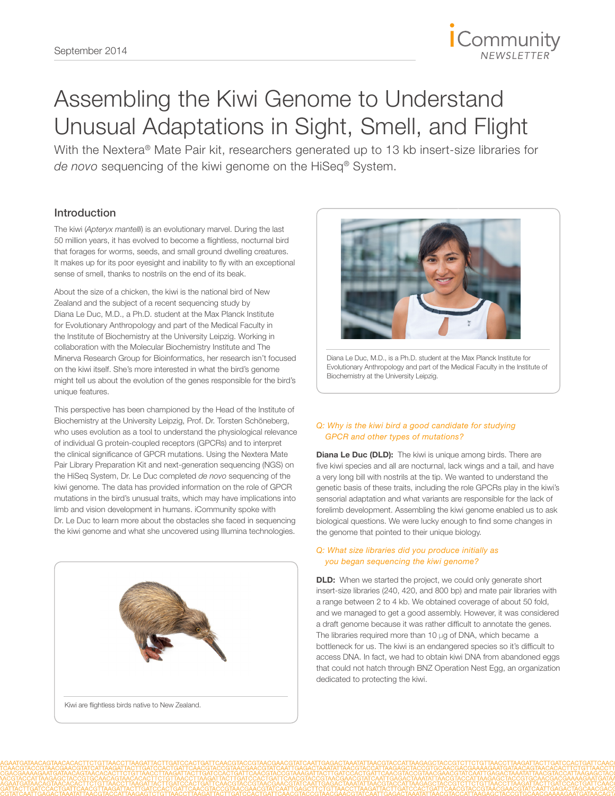

# Assembling the Kiwi Genome to Understand Unusual Adaptations in Sight, Smell, and Flight

With the Nextera® Mate Pair kit, researchers generated up to 13 kb insert-size libraries for *de novo* sequencing of the kiwi genome on the HiSeq® System.

# Introduction

The kiwi (*Apteryx mantelli*) is an evolutionary marvel. During the last 50 million years, it has evolved to become a flightless, nocturnal bird that forages for worms, seeds, and small ground dwelling creatures. It makes up for its poor eyesight and inability to fly with an exceptional sense of smell, thanks to nostrils on the end of its beak.

About the size of a chicken, the kiwi is the national bird of New Zealand and the subject of a recent sequencing study by Diana Le Duc, M.D., a Ph.D. student at the Max Planck Institute for Evolutionary Anthropology and part of the Medical Faculty in the Institute of Biochemistry at the University Leipzig. Working in collaboration with the Molecular Biochemistry Institute and The Minerva Research Group for Bioinformatics, her research isn't focused on the kiwi itself. She's more interested in what the bird's genome might tell us about the evolution of the genes responsible for the bird's unique features.

This perspective has been championed by the Head of the Institute of Biochemistry at the University Leipzig, Prof. Dr. Torsten Schöneberg, who uses evolution as a tool to understand the physiological relevance of individual G protein-coupled receptors (GPCRs) and to interpret the clinical significance of GPCR mutations. Using the Nextera Mate Pair Library Preparation Kit and next-generation sequencing (NGS) on the HiSeq System, Dr. Le Duc completed *de novo* sequencing of the kiwi genome. The data has provided information on the role of GPCR mutations in the bird's unusual traits, which may have implications into limb and vision development in humans. iCommunity spoke with Dr. Le Duc to learn more about the obstacles she faced in sequencing the kiwi genome and what she uncovered using Illumina technologies.





Diana Le Duc, M.D., is a Ph.D. student at the Max Planck Institute for Evolutionary Anthropology and part of the Medical Faculty in the Institute of Biochemistry at the University Leipzig.

# *Q: Why is the kiwi bird a good candidate for studying GPCR and other types of mutations?*

Diana Le Duc (DLD): The kiwi is unique among birds. There are five kiwi species and all are nocturnal, lack wings and a tail, and have a very long bill with nostrils at the tip. We wanted to understand the genetic basis of these traits, including the role GPCRs play in the kiwi's sensorial adaptation and what variants are responsible for the lack of forelimb development. Assembling the kiwi genome enabled us to ask biological questions. We were lucky enough to find some changes in the genome that pointed to their unique biology.

# *Q: What size libraries did you produce initially as you began sequencing the kiwi genome?*

**DLD:** When we started the project, we could only generate short insert-size libraries (240, 420, and 800 bp) and mate pair libraries with a range between 2 to 4 kb. We obtained coverage of about 50 fold, and we managed to get a good assembly. However, it was considered a draft genome because it was rather difficult to annotate the genes. The libraries required more than 10 μg of DNA, which became a bottleneck for us. The kiwi is an endangered species so it's difficult to access DNA. In fact, we had to obtain kiwi DNA from abandoned eggs that could not hatch through BNZ Operation Nest Egg, an organization dedicated to protecting the kiwi.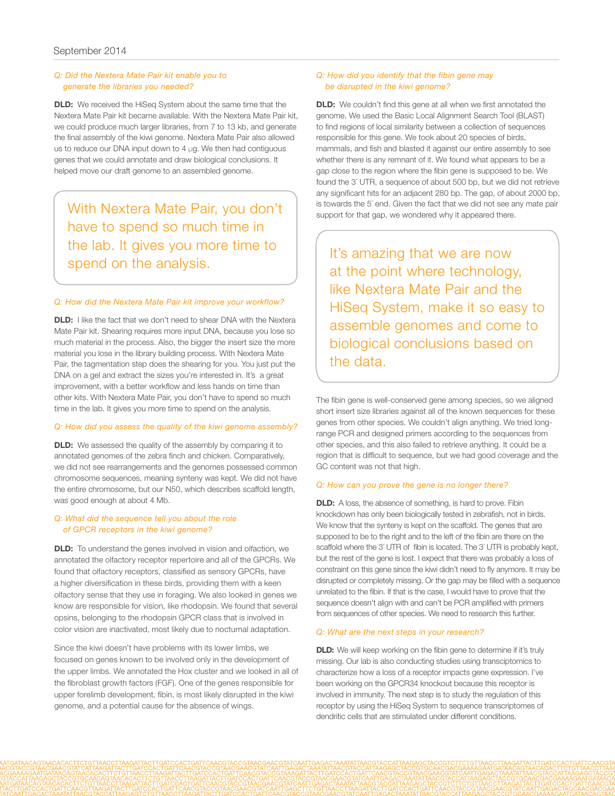# *Q: Did the Nextera Mate Pair kit enable you to generate the libraries you needed?*

**DLD:** We received the HiSeq System about the same time that the Nextera Mate Pair kit became available. With the Nextera Mate Pair kit, we could produce much larger libraries, from 7 to 13 kb, and generate the final assembly of the kiwi genome. Nextera Mate Pair also allowed us to reduce our DNA input down to 4 μg. We then had contiguous genes that we could annotate and draw biological conclusions. It helped move our draft genome to an assembled genome.

With Nextera Mate Pair, you don't have to spend so much time in the lab. It gives you more time to spend on the analysis.

#### *Q: How did the Nextera Mate Pair kit improve your workflow?*

**DLD:** I like the fact that we don't need to shear DNA with the Nextera Mate Pair kit. Shearing requires more input DNA, because you lose so much material in the process. Also, the bigger the insert size the more material you lose in the library building process. With Nextera Mate Pair, the tagmentation step does the shearing for you. You just put the DNA on a gel and extract the sizes you're interested in. It's a great improvement, with a better workflow and less hands on time than other kits. With Nextera Mate Pair, you don't have to spend so much time in the lab. It gives you more time to spend on the analysis.

#### *Q: How did you assess the quality of the kiwi genome assembly?*

**DLD:** We assessed the quality of the assembly by comparing it to annotated genomes of the zebra finch and chicken. Comparatively, we did not see rearrangements and the genomes possessed common chromosome sequences, meaning synteny was kept. We did not have the entire chromosome, but our N50, which describes scaffold length, was good enough at about 4 Mb.

# *Q: What did the sequence tell you about the role of GPCR receptors in the kiwi genome?*

**DLD:** To understand the genes involved in vision and olfaction, we annotated the olfactory receptor repertoire and all of the GPCRs. We found that olfactory receptors, classified as sensory GPCRs, have a higher diversification in these birds, providing them with a keen olfactory sense that they use in foraging. We also looked in genes we know are responsible for vision, like rhodopsin. We found that several opsins, belonging to the rhodopsin GPCR class that is involved in color vision are inactivated, most likely due to nocturnal adaptation.

Since the kiwi doesn't have problems with its lower limbs, we focused on genes known to be involved only in the development of the upper limbs. We annotated the Hox cluster and we looked in all of the fibroblast growth factors (FGF). One of the genes responsible for upper forelimb development, fibin, is most likely disrupted in the kiwi genome, and a potential cause for the absence of wings.

#### *Q: How did you identify that the fibin gene may be disrupted in the kiwi genome?*

**DLD:** We couldn't find this gene at all when we first annotated the genome. We used the Basic Local Alignment Search Tool (BLAST) to find regions of local similarity between a collection of sequences responsible for this gene. We took about 20 species of birds, mammals, and fish and blasted it against our entire assembly to see whether there is any remnant of it. We found what appears to be a gap close to the region where the fibin gene is supposed to be. We found the 3´ UTR, a sequence of about 500 bp, but we did not retrieve any significant hits for an adjacent 280 bp. The gap, of about 2000 bp, is towards the 5´ end. Given the fact that we did not see any mate pair support for that gap, we wondered why it appeared there.

It's amazing that we are now at the point where technology, like Nextera Mate Pair and the HiSeq System, make it so easy to assemble genomes and come to biological conclusions based on the data.

The fibin gene is well-conserved gene among species, so we aligned short insert size libraries against all of the known sequences for these genes from other species. We couldn't align anything. We tried longrange PCR and designed primers according to the sequences from other species, and this also failed to retrieve anything. It could be a region that is difficult to sequence, but we had good coverage and the GC content was not that high.

# *Q: How can you prove the gene is no longer there?*

**DLD:** A loss, the absence of something, is hard to prove. Fibin knockdown has only been biologically tested in zebrafish, not in birds. We know that the synteny is kept on the scaffold. The genes that are supposed to be to the right and to the left of the fibin are there on the scaffold where the 3<sup>'</sup> UTR of fibin is located. The 3<sup>'</sup> UTR is probably kept, but the rest of the gene is lost. I expect that there was probably a loss of constraint on this gene since the kiwi didn't need to fly anymore. It may be disrupted or completely missing. Or the gap may be filled with a sequence unrelated to the fibin. If that is the case, I would have to prove that the sequence doesn't align with and can't be PCR amplified with primers from sequences of other species. We need to research this further.

#### *Q: What are the next steps in your research?*

**DLD:** We will keep working on the fibin gene to determine if it's truly missing. Our lab is also conducting studies using transciptomics to characterize how a loss of a receptor impacts gene expression. I've been working on the GPCR34 knockout because this receptor is involved in immunity. The next step is to study the regulation of this receptor by using the HiSeq System to sequence transcriptomes of dendritic cells that are stimulated under different conditions.